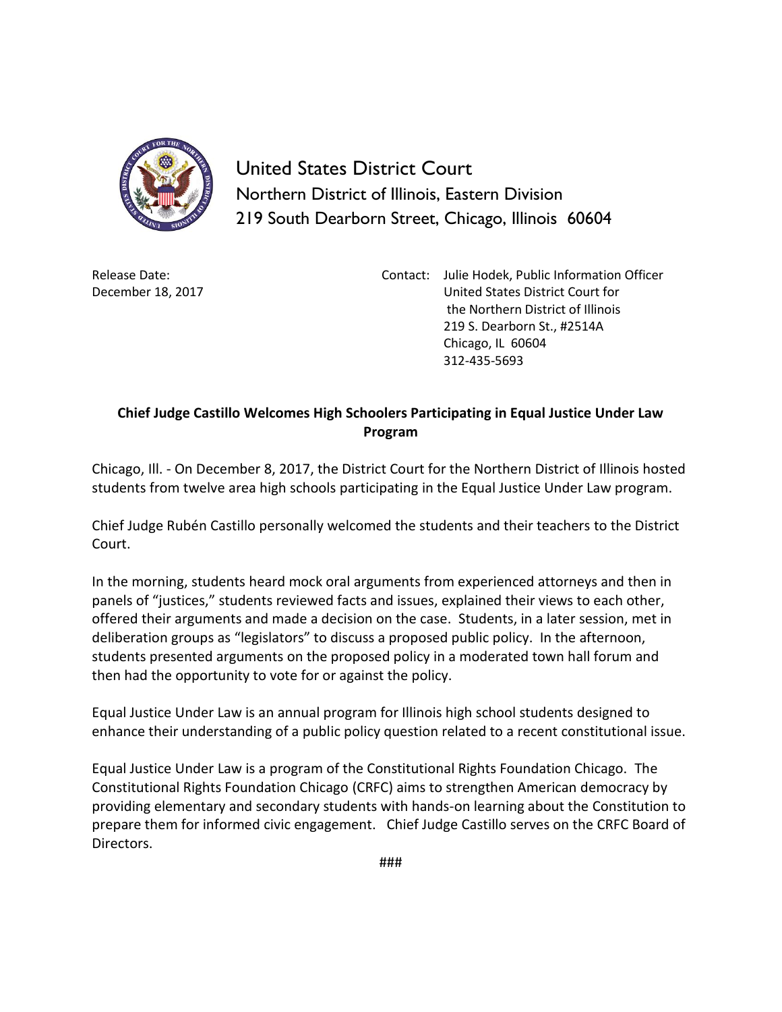

United States District Court Northern District of Illinois, Eastern Division 219 South Dearborn Street, Chicago, Illinois 60604

Release Date: December 18, 2017 Contact: Julie Hodek, Public Information Officer United States District Court for the Northern District of Illinois 219 S. Dearborn St., #2514A Chicago, IL 60604 312-435-5693

## **Chief Judge Castillo Welcomes High Schoolers Participating in Equal Justice Under Law Program**

Chicago, Ill. - On December 8, 2017, the District Court for the Northern District of Illinois hosted students from twelve area high schools participating in the Equal Justice Under Law program.

Chief Judge Rubén Castillo personally welcomed the students and their teachers to the District Court.

In the morning, students heard mock oral arguments from experienced attorneys and then in panels of "justices," students reviewed facts and issues, explained their views to each other, offered their arguments and made a decision on the case. Students, in a later session, met in deliberation groups as "legislators" to discuss a proposed public policy. In the afternoon, students presented arguments on the proposed policy in a moderated town hall forum and then had the opportunity to vote for or against the policy.

Equal Justice Under Law is an annual program for Illinois high school students designed to enhance their understanding of a public policy question related to a recent constitutional issue.

Equal Justice Under Law is a program of the Constitutional Rights Foundation Chicago. The Constitutional Rights Foundation Chicago (CRFC) aims to strengthen American democracy by providing elementary and secondary students with hands-on learning about the Constitution to prepare them for informed civic engagement. Chief Judge Castillo serves on the CRFC Board of Directors.